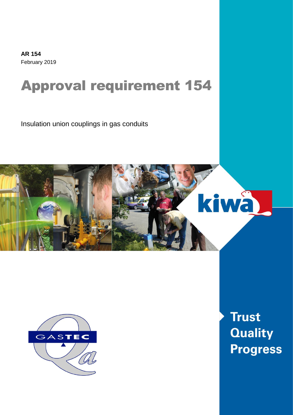**AR 154** February 2019

# Approval requirement 154

Insulation union couplings in gas conduits





**Trust Quality Progress**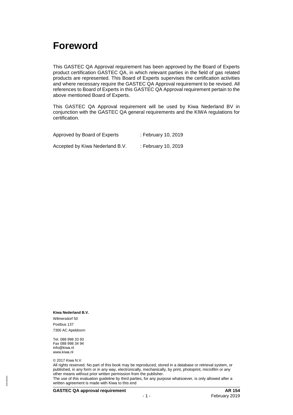### <span id="page-1-0"></span>**Foreword**

This GASTEC QA Approval requirement has been approved by the Board of Experts product certification GASTEC QA, in which relevant parties in the field of gas related products are represented. This Board of Experts supervises the certification activities and where necessary require the GASTEC QA Approval requirement to be revised. All references to Board of Experts in this GASTEC QA Approval requirement pertain to the above mentioned Board of Experts.

This GASTEC QA Approval requirement will be used by Kiwa Nederland BV in conjunction with the GASTEC QA general requirements and the KIWA regulations for certification.

| Approved by Board of Experts    | : February 10, 2019 |
|---------------------------------|---------------------|
| Accepted by Kiwa Nederland B.V. | : February 10, 2019 |

#### **Kiwa Nederland B.V.**

Wilmersdorf 50 Postbus 137 7300 AC Apeldoorn

Tel. 088 998 33 93 Fax 088 998 34 94 info@kiwa.nl www.kiwa.nl

© 2017 Kiwa N.V.

All rights reserved. No part of this book may be reproduced, stored in a database or retrieval system, or published, in any form or in any way, electronically, mechanically, by print, photoprint, microfilm or any other means without prior written permission from the publisher.

The use of this evaluation guideline by third parties, for any purpose whatsoever, is only allowed after a written agreement is made with Kiwa to this end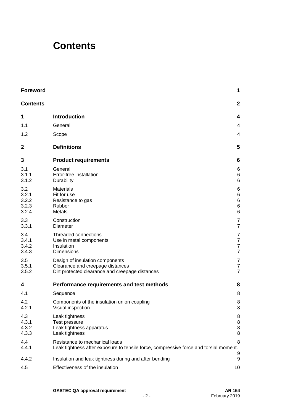### <span id="page-2-0"></span>**Contents**

| <b>Foreword</b>                         |                                                                                                                         | 1                                                                        |
|-----------------------------------------|-------------------------------------------------------------------------------------------------------------------------|--------------------------------------------------------------------------|
| <b>Contents</b>                         |                                                                                                                         | $\mathbf 2$                                                              |
| 1                                       | <b>Introduction</b>                                                                                                     | 4                                                                        |
| 1.1                                     | General                                                                                                                 | 4                                                                        |
| 1.2                                     | Scope                                                                                                                   | 4                                                                        |
| $\mathbf{2}$                            | <b>Definitions</b>                                                                                                      | 5                                                                        |
| 3                                       | <b>Product requirements</b>                                                                                             | 6                                                                        |
| 3.1<br>3.1.1<br>3.1.2                   | General<br>Error-free installation<br>Durability                                                                        | 6<br>6<br>6                                                              |
| 3.2<br>3.2.1<br>3.2.2<br>3.2.3<br>3.2.4 | <b>Materials</b><br>Fit for use<br>Resistance to gas<br>Rubber<br>Metals                                                | 6<br>$\,6$<br>$\,6$<br>$\,6$<br>$6\phantom{1}6$                          |
| 3.3<br>3.3.1                            | Construction<br>Diameter                                                                                                | $\overline{7}$<br>$\overline{7}$                                         |
| 3.4<br>3.4.1<br>3.4.2<br>3.4.3          | Threaded connections<br>Use in metal components<br>Insulation<br><b>Dimensions</b>                                      | $\overline{7}$<br>$\boldsymbol{7}$<br>$\boldsymbol{7}$<br>$\overline{7}$ |
| 3.5<br>3.5.1<br>3.5.2                   | Design of insulation components<br>Clearance and creepage distances<br>Dirt protected clearance and creepage distances  | 7<br>$\boldsymbol{7}$<br>$\overline{7}$                                  |
| 4                                       | Performance requirements and test methods                                                                               | 8                                                                        |
| 4.1                                     | Sequence                                                                                                                | 8                                                                        |
| 4.2<br>4.2.1                            | Components of the insulation union coupling<br>Visual inspection                                                        | 8<br>8                                                                   |
| 4.3<br>4.3.1<br>4.3.2<br>4.3.3          | Leak tightness<br>Test pressure<br>Leak tightness apparatus<br>Leak tightness                                           | 8<br>8<br>8<br>8                                                         |
| 4.4<br>4.4.1                            | Resistance to mechanical loads<br>Leak tightness after exposure to tensile force, compressive force and torsial moment. | 8                                                                        |
| 4.4.2                                   | Insulation and leak tightness during and after bending                                                                  | 9<br>9                                                                   |
| 4.5                                     | Effectiveness of the insulation                                                                                         | 10                                                                       |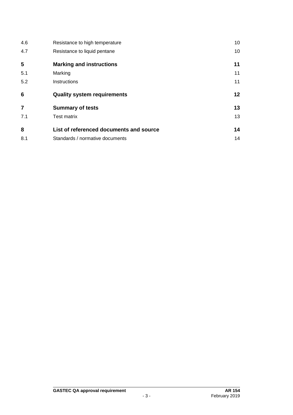| 4.6            | Resistance to high temperature          | 10 |
|----------------|-----------------------------------------|----|
| 4.7            | Resistance to liquid pentane            | 10 |
| 5              | <b>Marking and instructions</b>         | 11 |
| 5.1            | Marking                                 | 11 |
| 5.2            | Instructions                            | 11 |
|                |                                         |    |
| 6              | <b>Quality system requirements</b>      | 12 |
| $\overline{7}$ | <b>Summary of tests</b>                 | 13 |
| 7.1            | <b>Test matrix</b>                      | 13 |
| 8              | List of referenced documents and source | 14 |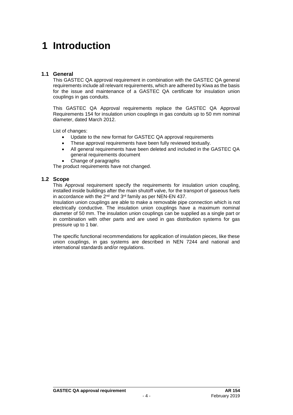# <span id="page-4-0"></span>**1 Introduction**

### <span id="page-4-1"></span>**1.1 General**

This GASTEC QA approval requirement in combination with the GASTEC QA general requirements include all relevant requirements, which are adhered by Kiwa as the basis for the issue and maintenance of a GASTEC QA certificate for insulation union couplings in gas conduits.

This GASTEC QA Approval requirements replace the GASTEC QA Approval Requirements 154 for insulation union couplings in gas conduits up to 50 mm nominal diameter, dated March 2012.

List of changes:

- Update to the new format for GASTEC QA approval requirements
- These approval requirements have been fully reviewed textually.
- All general requirements have been deleted and included in the GASTEC QA general requirements document
- Change of paragraphs

<span id="page-4-2"></span>The product requirements have not changed.

### **1.2 Scope**

This Approval requirement specify the requirements for insulation union coupling, installed inside buildings after the main shutoff valve, for the transport of gaseous fuels in accordance with the  $2^{nd}$  and  $3^{rd}$  family as per NEN-EN 437.

Insulation union couplings are able to make a removable pipe connection which is not electrically conductive. The insulation union couplings have a maximum nominal diameter of 50 mm. The insulation union couplings can be supplied as a single part or in combination with other parts and are used in gas distribution systems for gas pressure up to 1 bar.

The specific functional recommendations for application of insulation pieces, like these union couplings, in gas systems are described in NEN 7244 and national and international standards and/or regulations.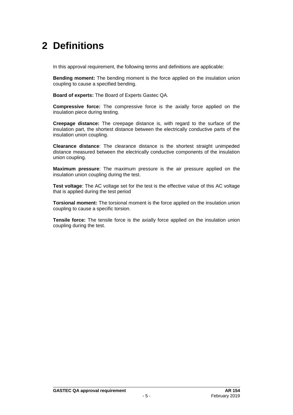# <span id="page-5-0"></span>**2 Definitions**

In this approval requirement, the following terms and definitions are applicable:

**Bending moment:** The bending moment is the force applied on the insulation union coupling to cause a specified bending.

**Board of experts:** The Board of Experts Gastec QA.

**Compressive force:** The compressive force is the axially force applied on the insulation piece during testing.

**Creepage distance:** The creepage distance is, with regard to the surface of the insulation part, the shortest distance between the electrically conductive parts of the insulation union coupling.

**Clearance distance**: The clearance distance is the shortest straight unimpeded distance measured between the electrically conductive components of the insulation union coupling.

**Maximum pressure**: The maximum pressure is the air pressure applied on the insulation union coupling during the test.

**Test voltage**: The AC voltage set for the test is the effective value of this AC voltage that is applied during the test period

**Torsional moment:** The torsional moment is the force applied on the insulation union coupling to cause a specific torsion.

**Tensile force:** The tensile force is the axially force applied on the insulation union coupling during the test.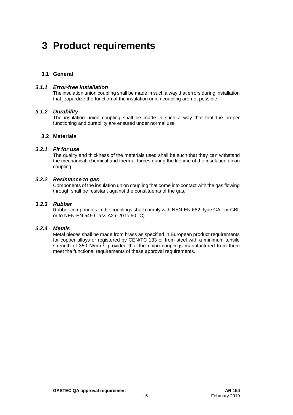# <span id="page-6-0"></span>**3 Product requirements**

### <span id="page-6-2"></span><span id="page-6-1"></span>**3.1 General**

### *3.1.1 Error-free installation*

<span id="page-6-3"></span>The insulation union coupling shall be made in such a way that errors during installation that jeopardize the function of the insulation union coupling are not possible.

### *3.1.2 Durability*

<span id="page-6-4"></span>The insulation union coupling shall be made in such a way that that the proper functioning and durability are ensured under normal use

### <span id="page-6-5"></span>**3.2 Materials**

### *3.2.1 Fit for use*

The quality and thickness of the materials used shall be such that they can withstand the mechanical, chemical and thermal forces during the lifetime of the insulation union coupling.

### *3.2.2 Resistance to gas*

<span id="page-6-7"></span><span id="page-6-6"></span>Components of the insulation union coupling that come into contact with the gas flowing through shall be resistant against the constituents of the gas.

### *3.2.3 Rubber*

<span id="page-6-8"></span>Rubber components in the couplings shall comply with NEN-EN 682, type GAL or GBL or to NEN-EN 549 Class A2 (-20 to 60 °C).

### *3.2.4 Metals*

Metal pieces shall be made from brass as specified in European product requirements for copper alloys or registered by CEN/TC 133 or from steel with a minimum tensile strength of 350 N/mm<sup>2</sup>, provided that the union couplings manufactured from them meet the functional requirements of these approval requirements.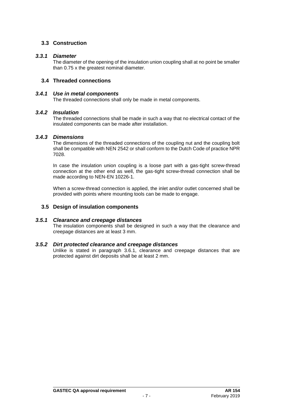### <span id="page-7-1"></span><span id="page-7-0"></span>**3.3 Construction**

### *3.3.1 Diameter*

<span id="page-7-2"></span>The diameter of the opening of the insulation union coupling shall at no point be smaller than 0.75 x the greatest nominal diameter.

### <span id="page-7-3"></span>**3.4 Threaded connections**

### *3.4.1 Use in metal components*

<span id="page-7-4"></span>The threaded connections shall only be made in metal components.

### *3.4.2 Insulation*

<span id="page-7-5"></span>The threaded connections shall be made in such a way that no electrical contact of the insulated components can be made after installation.

### *3.4.3 Dimensions*

The dimensions of the threaded connections of the coupling nut and the coupling bolt shall be compatible with NEN 2542 or shall conform to the Dutch Code of practice NPR 7028.

In case the insulation union coupling is a loose part with a gas-tight screw-thread connection at the other end as well, the gas-tight screw-thread connection shall be made according to NEN-EN 10226-1.

<span id="page-7-6"></span>When a screw-thread connection is applied, the inlet and/or outlet concerned shall be provided with points where mounting tools can be made to engage.

### <span id="page-7-7"></span>**3.5 Design of insulation components**

### *3.5.1 Clearance and creepage distances*

<span id="page-7-8"></span>The insulation components shall be designed in such a way that the clearance and creepage distances are at least 3 mm.

### *3.5.2 Dirt protected clearance and creepage distances*

Unlike is stated in paragraph 3.6.1, clearance and creepage distances that are protected against dirt deposits shall be at least 2 mm.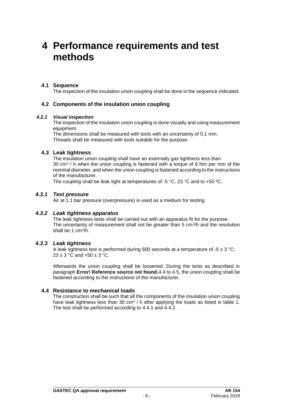### <span id="page-8-0"></span>**4 Performance requirements and test methods**

### <span id="page-8-1"></span>**4.1 Sequence**

<span id="page-8-2"></span>The inspection of the insulation union coupling shall be done in the sequence indicated.

### <span id="page-8-3"></span>**4.2 Components of the insulation union coupling**

#### *4.2.1 Visual inspection*

The inspection of the insulation union coupling is done visually and using measurement equipment.

<span id="page-8-4"></span>The dimensions shall be measured with tools with an uncertainty of 0,1 mm. Threads shall be measured with tools suitable for the purpose.

### **4.3 Leak tightness**

The insulation union coupling shall have an externally gas tightness less than 30 cm<sup>3</sup> / h when the union coupling is fastened with a torque of 6 Nm per mm of the nominal diameter, and when the union coupling is fastened according to the instructions of the manufacturer.

<span id="page-8-5"></span>The coupling shall be leak tight at temperatures of -5 °C, 23 °C and to +50 °C.

### *4.3.1 Test pressure*

<span id="page-8-6"></span>Air at 1.1 bar pressure (overpressure) is used as a medium for testing.

### *4.3.2 Leak tightness apparatus*

The leak tightness tests shall be carried out with an apparatus fit for the purpose. The uncertainty of measurement shall not be greater than 5  $\text{cm}^3\text{/h}$  and the resolution shall be 1 cm<sup>3</sup> /h.

### *4.3.3 Leak tightness*

<span id="page-8-7"></span>A leak tightness test is performed during 600 seconds at a temperature of -5  $\pm$  3 °C.  $23 \pm 3$  °C and  $+50 \pm 3$  °C.

Afterwards the union coupling shall be loosened. During the tests as described in paragraph **Error! Reference source not found.**4.4 to 4.5, the union coupling shall be fastened according to the instructions of the manufacturer.

### **4.4 Resistance to mechanical loads**

<span id="page-8-8"></span>The construction shall be such that all the components of the insulation union coupling have leak tightness less than 30 cm<sup>3</sup> / h after applying the loads as listed in table 1. The test shall be performed according to 4.4.1 and 4.4.2.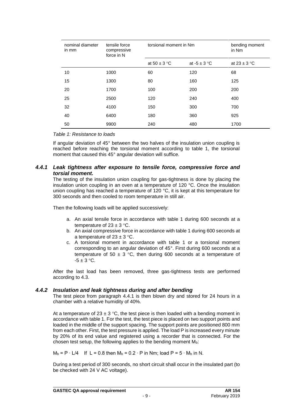| nominal diameter<br>in mm | tensile force<br>compressive<br>force in N | torsional moment in Nm |                  | bending moment<br>in Nm |
|---------------------------|--------------------------------------------|------------------------|------------------|-------------------------|
|                           |                                            | at $50 \pm 3$ °C       | at $-5 \pm 3$ °C | at $23 \pm 3$ °C        |
| 10                        | 1000                                       | 60                     | 120              | 68                      |
| 15                        | 1300                                       | 80                     | 160              | 125                     |
| 20                        | 1700                                       | 100                    | 200              | 200                     |
| 25                        | 2500                                       | 120                    | 240              | 400                     |
| 32                        | 4100                                       | 150                    | 300              | 700                     |
| 40                        | 6400                                       | 180                    | 360              | 925                     |
| 50                        | 9900                                       | 240                    | 480              | 1700                    |

*Table 1: Resistance to loads*

<span id="page-9-0"></span>If angular deviation of 45° between the two halves of the insulation union coupling is reached before reaching the torsional moment according to table 1, the torsional moment that caused this 45° angular deviation will suffice.

### *4.4.1 Leak tightness after exposure to tensile force, compressive force and torsial moment.*

The testing of the insulation union coupling for gas-tightness is done by placing the insulation union coupling in an oven at a temperature of 120 °C. Once the insulation union coupling has reached a temperature of 120 °C, it is kept at this temperature for 300 seconds and then cooled to room temperature in still air.

Then the following loads will be applied successively:

- a. An axial tensile force in accordance with table 1 during 600 seconds at a temperature of  $23 \pm 3$  °C.
- b. An axial compressive force in accordance with table 1 during 600 seconds at a temperature of  $23 \pm 3$  °C.
- c. A torsional moment in accordance with table 1 or a torsional moment corresponding to an angular deviation of 45°. First during 600 seconds at a temperature of 50  $\pm$  3 °C, then during 600 seconds at a temperature of  $-5 \pm 3$  °C.

<span id="page-9-1"></span>After the last load has been removed, three gas-tightness tests are performed according to 4.3.

### *4.4.2 Insulation and leak tightness during and after bending*

The test piece from paragraph 4.4.1 is then blown dry and stored for 24 hours in a chamber with a relative humidity of 40%.

At a temperature of  $23 \pm 3$  °C, the test piece is then loaded with a bending moment in accordance with table 1. For the test, the test piece is placed on two support points and loaded in the middle of the support spacing. The support points are positioned 800 mm from each other. First, the test pressure is applied. The load P is increased every minute by 20% of its end value and registered using a recorder that is connected. For the chosen test setup, the following applies to the bending moment  $M<sub>b</sub>$ :

 $M_b = P \cdot L/4$  If L = 0.8 then  $M_b = 0.2 \cdot P$  in Nm; load P = 5 ⋅  $M_b$  in N.

During a test period of 300 seconds, no short circuit shall occur in the insulated part (to be checked with 24 V AC voltage).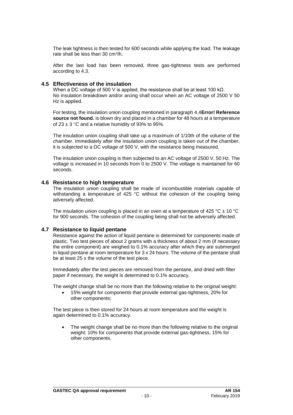The leak tightness is then tested for 600 seconds while applying the load. The leakage rate shall be less than 30 cm<sup>3</sup>/h.

<span id="page-10-0"></span>After the last load has been removed, three gas-tightness tests are performed according to 4.3.

### **4.5 Effectiveness of the insulation**

When a DC voltage of 500 V is applied, the resistance shall be at least 100 k $\Omega$ . No insulation breakdown and/or arcing shall occur when an AC voltage of 2500 V 50 Hz is applied.

For testing, the insulation union coupling mentioned in paragraph 4.4**Error! Reference source not found.** is blown dry and placed in a chamber for 48 hours at a temperature of  $23 \pm 3$  °C and a relative humidity of 93% to 95%.

The insulation union coupling shall take up a maximum of 1/10th of the volume of the chamber. Immediately after the insulation union coupling is taken out of the chamber, it is subjected to a DC voltage of 500 V, with the resistance being measured.

The insulation union coupling is then subjected to an AC voltage of 2500 V, 50 Hz. The voltage is increased in 10 seconds from 0 to 2500 V. The voltage is maintained for 60 seconds.

### <span id="page-10-1"></span>**4.6 Resistance to high temperature**

The insulation union coupling shall be made of incombustible materials capable of withstanding a temperature of 425 °C without the cohesion of the coupling being adversely affected.

<span id="page-10-2"></span>The insulation union coupling is placed in an oven at a temperature of 425 °C  $\pm$  10 °C for 900 seconds. The cohesion of the coupling being shall not be adversely affected.

### **4.7 Resistance to liquid pentane**

Resistance against the action of liquid pentane is determined for components made of plastic. Two test pieces of about 2 grams with a thickness of about 2 mm (if necessary the entire component) are weighed to 0.1% accuracy after which they are submerged in liquid pentane at room temperature for 3 x 24 hours. The volume of the pentane shall be at least 25 x the volume of the test piece.

Immediately after the test pieces are removed from the pentane, and dried with filter paper if necessary, the weight is determined to 0.1% accuracy.

The weight change shall be no more than the following relative to the original weight:

• 15% weight for components that provide external gas-tightness, 20% for other components;

The test piece is then stored for 24 hours at room temperature and the weight is again determined to 0.1% accuracy.

The weight change shall be no more than the following relative to the original weight: 10% for components that provide external gas-tightness, 15% for other components.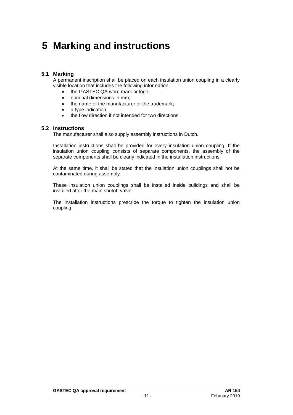# <span id="page-11-0"></span>**5 Marking and instructions**

### <span id="page-11-1"></span>**5.1 Marking**

A permanent inscription shall be placed on each insulation union coupling in a clearly visible location that includes the following information:

- the GASTEC QA word mark or logo;
- nominal dimensions in mm;
- the name of the manufacturer or the trademark;
- a type indication;
- <span id="page-11-2"></span>the flow direction if not intended for two directions.

### **5.2 Instructions**

The manufacturer shall also supply assembly instructions in Dutch.

Installation instructions shall be provided for every insulation union coupling. If the insulation union coupling consists of separate components, the assembly of the separate components shall be clearly indicated in the installation instructions.

At the same time, it shall be stated that the insulation union couplings shall not be contaminated during assembly.

These insulation union couplings shall be installed inside buildings and shall be installed after the main shutoff valve.

The installation instructions prescribe the torque to tighten the insulation union coupling.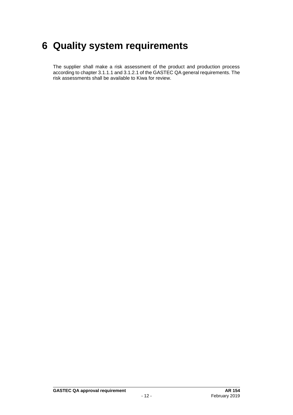# <span id="page-12-0"></span>**6 Quality system requirements**

The supplier shall make a risk assessment of the product and production process according to chapter 3.1.1.1 and 3.1.2.1 of the GASTEC QA general requirements. The risk assessments shall be available to Kiwa for review.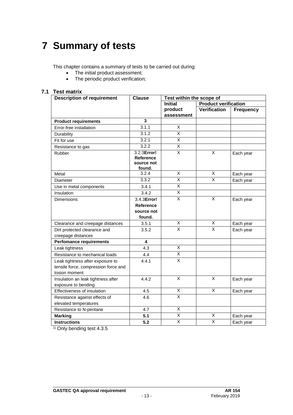# <span id="page-13-0"></span>**7 Summary of tests**

This chapter contains a summary of tests to be carried out during:

- The initial product assessment;
- The periodic product verification;

### **7.1 Test matrix**

<span id="page-13-1"></span>

| <b>Description of requirement</b>                                                         | <b>Clause</b>                                           | Test within the scope of |                             |                  |
|-------------------------------------------------------------------------------------------|---------------------------------------------------------|--------------------------|-----------------------------|------------------|
|                                                                                           |                                                         | <b>Initial</b>           | <b>Product verification</b> |                  |
|                                                                                           |                                                         | product                  | <b>Verification</b>         | <b>Frequency</b> |
|                                                                                           |                                                         | assessment               |                             |                  |
| <b>Product requirements</b>                                                               | $\overline{\mathbf{3}}$                                 |                          |                             |                  |
| Error-free installation                                                                   | 3.1.1                                                   | $\overline{\mathsf{x}}$  |                             |                  |
| Durability                                                                                | 3.1.2                                                   | $\overline{\mathsf{x}}$  |                             |                  |
| Fit for use                                                                               | 3.2.1                                                   | $\overline{X}$           |                             |                  |
| Resistance to gas                                                                         | 3.2.2                                                   | $\overline{\mathsf{X}}$  |                             |                  |
| Rubber                                                                                    | 3.2.3Error!<br>Reference<br>source not<br>found.        | $\overline{\mathsf{x}}$  | $\overline{X}$              | Each year        |
| Metal                                                                                     | 3.2.4                                                   | X                        | X                           | Each year        |
| Diameter                                                                                  | 3.3.2                                                   | $\overline{\mathsf{x}}$  | $\overline{\mathsf{x}}$     | Each year        |
| Use in metal components                                                                   | 3.4.1                                                   | $\overline{\mathsf{x}}$  |                             |                  |
| Insulation                                                                                | 3.4.2                                                   | $\overline{\mathsf{x}}$  |                             |                  |
| <b>Dimensions</b>                                                                         | 3.4.3Error!<br><b>Reference</b><br>source not<br>found. | X                        | X                           | Each year        |
| Clearance and creepage distances                                                          | 3.5.1                                                   | X                        | X                           | Each year        |
| Dirt protected clearance and<br>creepage distances                                        | 3.5.2                                                   | $\overline{\mathsf{x}}$  | X                           | Each year        |
|                                                                                           | 4                                                       |                          |                             |                  |
| <b>Perfomance requirements</b><br>Leak tightness                                          | 4.3                                                     | X                        |                             |                  |
|                                                                                           |                                                         | $\overline{X}$           |                             |                  |
| Resistance to mechanical loads                                                            | 4.4                                                     | $\overline{\mathsf{x}}$  |                             |                  |
| Leak tightness after exposure to<br>tensile force, compression force and<br>tosion moment | 4.4.1                                                   |                          |                             |                  |
| Insulation an leak tightness after<br>exposure to bending                                 | 4.4.2                                                   | $\overline{\mathsf{x}}$  | $\times$                    | Each year        |
| Effectiveness of insulation                                                               | 4.5                                                     | X                        | X                           | Each year        |
| Resistance against effects of                                                             | 4.6                                                     | $\overline{\mathsf{x}}$  |                             |                  |
| elevated temperatures                                                                     |                                                         |                          |                             |                  |
| Resistance to N-pentane                                                                   | 4.7                                                     | X                        |                             |                  |
| <b>Marking</b>                                                                            | 5.1                                                     | $\overline{\mathsf{x}}$  | X                           | Each year        |
| <b>Instructions</b>                                                                       | 5.2                                                     | $\overline{\mathsf{x}}$  | $\overline{X}$              | Each year        |

<sup>1)</sup> Only bending test 4.3.5